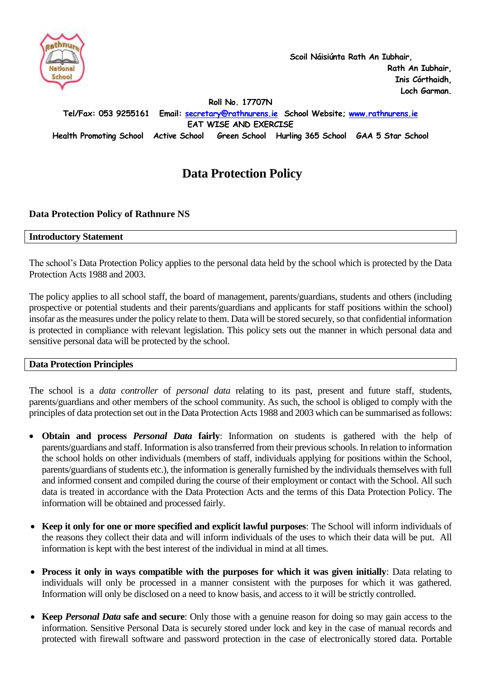

 **Scoil Náisiúnta Rath An Iubhair, Rath An Iubhair, Inis Córthaidh, Loch Garman.**

**Roll No. 17707N**

**Tel/Fax: 053 9255161 Email: [secretary@rathnurens.ie](mailto:secretary@rathnurens.ie) School Website; [www.rathnurens.ie](http://www.rathnurens.ie/)**

**EAT WISE AND EXERCISE**

**Health Promoting School Active School Green School Hurling 365 School GAA 5 Star School**

# **Data Protection Policy**

### **Data Protection Policy of Rathnure NS**

#### **Introductory Statement**

The school's Data Protection Policy applies to the personal data held by the school which is protected by the Data Protection Acts 1988 and 2003.

The policy applies to all school staff, the board of management, parents/guardians, students and others (including prospective or potential students and their parents/guardians and applicants for staff positions within the school) insofar as the measures under the policy relate to them. Data will be stored securely, so that confidential information is protected in compliance with relevant legislation. This policy sets out the manner in which personal data and sensitive personal data will be protected by the school.

### **Data Protection Principles**

The school is a *data controller* of *personal data* relating to its past, present and future staff, students, parents/guardians and other members of the school community. As such, the school is obliged to comply with the principles of data protection set out in the Data Protection Acts 1988 and 2003 which can be summarised as follows:

- **Obtain and process** *Personal Data* **fairly**: Information on students is gathered with the help of parents/guardians and staff. Information is also transferred from their previous schools. In relation to information the school holds on other individuals (members of staff, individuals applying for positions within the School, parents/guardians of students etc.), the information is generally furnished by the individuals themselves with full and informed consent and compiled during the course of their employment or contact with the School. All such data is treated in accordance with the Data Protection Acts and the terms of this Data Protection Policy. The information will be obtained and processed fairly.
- **Keep it only for one or more specified and explicit lawful purposes**: The School will inform individuals of the reasons they collect their data and will inform individuals of the uses to which their data will be put. All information is kept with the best interest of the individual in mind at all times.
- **Process it only in ways compatible with the purposes for which it was given initially**: Data relating to individuals will only be processed in a manner consistent with the purposes for which it was gathered. Information will only be disclosed on a need to know basis, and access to it will be strictly controlled.
- **Keep** *Personal Data* **safe and secure**: Only those with a genuine reason for doing so may gain access to the information. Sensitive Personal Data is securely stored under lock and key in the case of manual records and protected with firewall software and password protection in the case of electronically stored data. Portable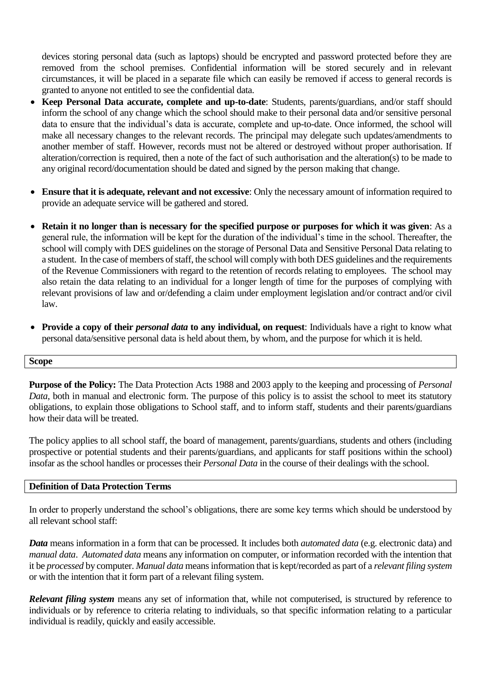devices storing personal data (such as laptops) should be encrypted and password protected before they are removed from the school premises. Confidential information will be stored securely and in relevant circumstances, it will be placed in a separate file which can easily be removed if access to general records is granted to anyone not entitled to see the confidential data.

- **Keep Personal Data accurate, complete and up-to-date**: Students, parents/guardians, and/or staff should inform the school of any change which the school should make to their personal data and/or sensitive personal data to ensure that the individual's data is accurate, complete and up-to-date. Once informed, the school will make all necessary changes to the relevant records. The principal may delegate such updates/amendments to another member of staff. However, records must not be altered or destroyed without proper authorisation. If alteration/correction is required, then a note of the fact of such authorisation and the alteration(s) to be made to any original record/documentation should be dated and signed by the person making that change.
- **Ensure that it is adequate, relevant and not excessive**: Only the necessary amount of information required to provide an adequate service will be gathered and stored.
- **Retain it no longer than is necessary for the specified purpose or purposes for which it was given**: As a general rule, the information will be kept for the duration of the individual's time in the school. Thereafter, the school will comply with DES guidelines on the storage of Personal Data and Sensitive Personal Data relating to a student. In the case of members of staff, the school will comply with both DES guidelines and the requirements of the Revenue Commissioners with regard to the retention of records relating to employees. The school may also retain the data relating to an individual for a longer length of time for the purposes of complying with relevant provisions of law and or/defending a claim under employment legislation and/or contract and/or civil law.
- **Provide a copy of their** *personal data* **to any individual, on request**: Individuals have a right to know what personal data/sensitive personal data is held about them, by whom, and the purpose for which it is held.

### **Scope**

**Purpose of the Policy:** The Data Protection Acts 1988 and 2003 apply to the keeping and processing of *Personal Data*, both in manual and electronic form. The purpose of this policy is to assist the school to meet its statutory obligations, to explain those obligations to School staff, and to inform staff, students and their parents/guardians how their data will be treated.

The policy applies to all school staff, the board of management, parents/guardians, students and others (including prospective or potential students and their parents/guardians, and applicants for staff positions within the school) insofar as the school handles or processes their *Personal Data* in the course of their dealings with the school.

### **Definition of Data Protection Terms**

In order to properly understand the school's obligations, there are some key terms which should be understood by all relevant school staff:

*Data* means information in a form that can be processed. It includes both *automated data* (e.g. electronic data) and *manual data*. *Automated data* means any information on computer, or information recorded with the intention that it be *processed* by computer. *Manual data* means information that is kept/recorded as part of a *relevant filing system* or with the intention that it form part of a relevant filing system.

*Relevant filing system* means any set of information that, while not computerised, is structured by reference to individuals or by reference to criteria relating to individuals, so that specific information relating to a particular individual is readily, quickly and easily accessible.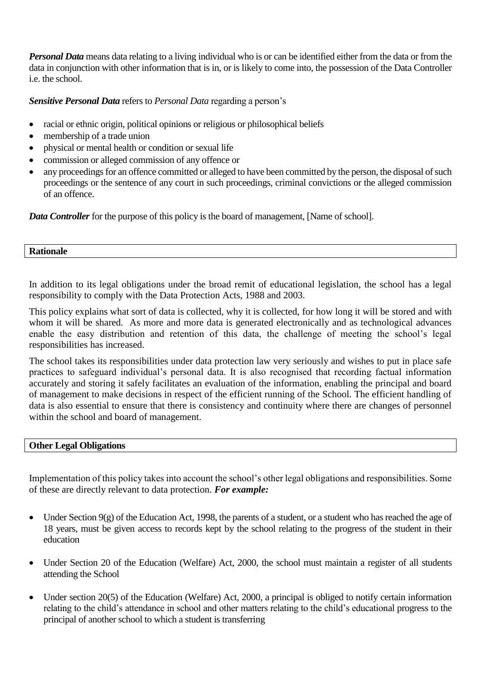*Personal Data* means data relating to a living individual who is or can be identified either from the data or from the data in conjunction with other information that is in, or is likely to come into, the possession of the Data Controller i.e. the school.

# *Sensitive Personal Data* refers to *Personal Data* regarding a person's

- racial or ethnic origin, political opinions or religious or philosophical beliefs
- membership of a trade union
- physical or mental health or condition or sexual life
- commission or alleged commission of any offence or
- any proceedings for an offence committed or alleged to have been committed by the person, the disposal of such proceedings or the sentence of any court in such proceedings, criminal convictions or the alleged commission of an offence.

*Data Controller* for the purpose of this policy is the board of management, [Name of school].

#### **Rationale**

In addition to its legal obligations under the broad remit of educational legislation, the school has a legal responsibility to comply with the Data Protection Acts, 1988 and 2003.

This policy explains what sort of data is collected, why it is collected, for how long it will be stored and with whom it will be shared. As more and more data is generated electronically and as technological advances enable the easy distribution and retention of this data, the challenge of meeting the school's legal responsibilities has increased.

The school takes its responsibilities under data protection law very seriously and wishes to put in place safe practices to safeguard individual's personal data. It is also recognised that recording factual information accurately and storing it safely facilitates an evaluation of the information, enabling the principal and board of management to make decisions in respect of the efficient running of the School. The efficient handling of data is also essential to ensure that there is consistency and continuity where there are changes of personnel within the school and board of management.

### **Other Legal Obligations**

Implementation of this policy takes into account the school's other legal obligations and responsibilities. Some of these are directly relevant to data protection. *For example:*

- Under Section  $9(g)$  of the [Education Act, 1998,](http://acts2.oireachtas.ie/zza51y1998.1.html) the parents of a student, or a student who has reached the age of 18 years, must be given access to records kept by the school relating to the progress of the student in their education
- Under Section 20 of the [Education \(Welfare\) Act, 2000,](http://www.oireachtas.ie/documents/bills28/acts/2000/a2200.pdf) the school must maintain a register of all students attending the School
- Under section 20(5) of the Education (Welfare) Act, 2000, a principal is obliged to notify certain information relating to the child's attendance in school and other matters relating to the child's educational progress to the principal of another school to which a student is transferring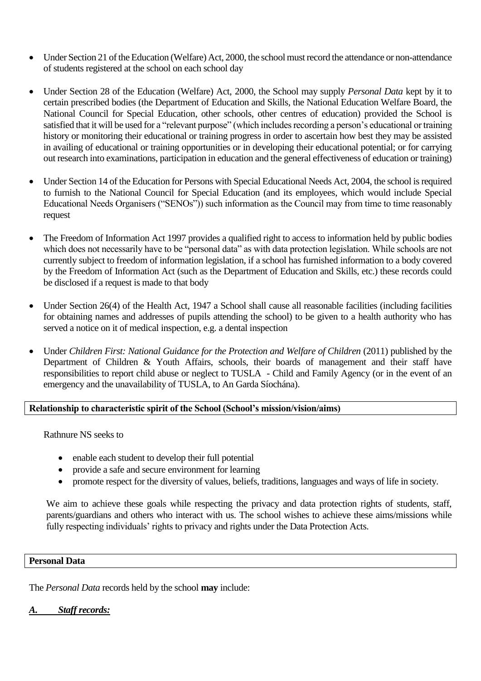- Under Section 21 of th[e Education \(Welfare\) Act, 2000,](http://www.oireachtas.ie/documents/bills28/acts/2000/a2200.pdf) the school must record the attendance or non-attendance of students registered at the school on each school day
- Under Section 28 of the [Education \(Welfare\) Act, 2000,](http://www.oireachtas.ie/documents/bills28/acts/2000/a2200.pdf) the School may supply *Personal Data* kept by it to certain prescribed bodies (the Department of Education and Skills, the National Education Welfare Board, the National Council for Special Education, other schools, other centres of education) provided the School is satisfied that it will be used for a "relevant purpose" (which includes recording a person's educational or training history or monitoring their educational or training progress in order to ascertain how best they may be assisted in availing of educational or training opportunities or in developing their educational potential; or for carrying out research into examinations, participation in education and the general effectiveness of education or training)
- Under Section 14 of the Education for Persons with Special Educational Needs Act, 2004, the school is required to furnish to the National Council for Special Education (and its employees, which would include Special Educational Needs Organisers ("SENOs")) such information as the Council may from time to time reasonably request
- The Freedom of Information Act 1997 provides a qualified right to access to information held by public bodies which does not necessarily have to be "personal data" as with data protection legislation. While schools are not currently subject to freedom of information legislation, if a school has furnished information to a body covered by the Freedom of Information Act (such as the Department of Education and Skills, etc.) these records could be disclosed if a request is made to that body
- Under Section 26(4) of the Health Act, 1947 a School shall cause all reasonable facilities (including facilities for obtaining names and addresses of pupils attending the school) to be given to a health authority who has served a notice on it of medical inspection, e.g. a dental inspection
- Under *Children First: National Guidance for the Protection and Welfare of Children* (2011) published by the Department of Children & Youth Affairs, schools, their boards of management and their staff have responsibilities to report child abuse or neglect to TUSLA - Child and Family Agency (or in the event of an emergency and the unavailability of TUSLA, to An Garda Síochána).

# **Relationship to characteristic spirit of the School (School's mission/vision/aims)**

Rathnure NS seeks to

- enable each student to develop their full potential
- provide a safe and secure environment for learning
- promote respect for the diversity of values, beliefs, traditions, languages and ways of life in society.

We aim to achieve these goals while respecting the privacy and data protection rights of students, staff, parents/guardians and others who interact with us. The school wishes to achieve these aims/missions while fully respecting individuals' rights to privacy and rights under the Data Protection Acts.

### **Personal Data**

The *Personal Data* records held by the school **may** include:

### *A. Staff records:*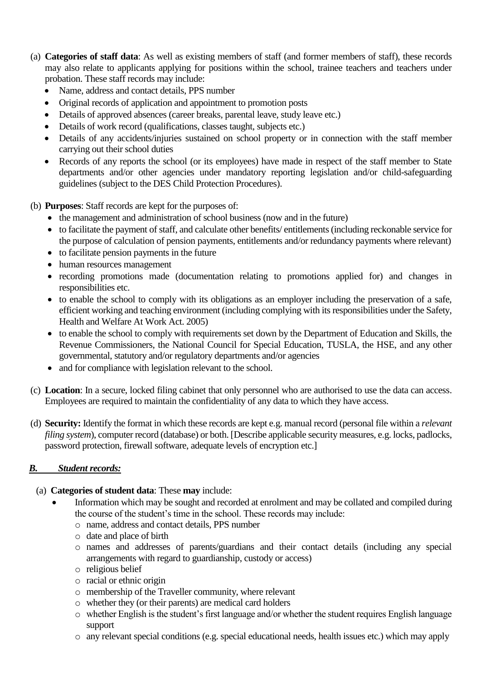- (a) **Categories of staff data**: As well as existing members of staff (and former members of staff), these records may also relate to applicants applying for positions within the school, trainee teachers and teachers under probation. These staff records may include:
	- Name, address and contact details, PPS number
	- Original records of application and appointment to promotion posts
	- Details of approved absences (career breaks, parental leave, study leave etc.)
	- Details of work record (qualifications, classes taught, subjects etc.)
	- Details of any accidents/injuries sustained on school property or in connection with the staff member carrying out their school duties
	- Records of any reports the school (or its employees) have made in respect of the staff member to State departments and/or other agencies under mandatory reporting legislation and/or child-safeguarding guidelines (subject to the DES Child Protection Procedures).
- (b) **Purposes**: Staff records are kept for the purposes of:
	- the management and administration of school business (now and in the future)
	- to facilitate the payment of staff, and calculate other benefits/ entitlements (including reckonable service for the purpose of calculation of pension payments, entitlements and/or redundancy payments where relevant)
	- to facilitate pension payments in the future
	- human resources management
	- recording promotions made (documentation relating to promotions applied for) and changes in responsibilities etc.
	- to enable the school to comply with its obligations as an employer including the preservation of a safe, efficient working and teaching environment (including complying with its responsibilities under the Safety, Health and Welfare At Work Act. 2005)
	- to enable the school to comply with requirements set down by the Department of Education and Skills, the Revenue Commissioners, the National Council for Special Education, TUSLA, the HSE, and any other governmental, statutory and/or regulatory departments and/or agencies
	- and for compliance with legislation relevant to the school.
- (c) **Location**: In a secure, locked filing cabinet that only personnel who are authorised to use the data can access. Employees are required to maintain the confidentiality of any data to which they have access.
- (d) **Security:** Identify the format in which these records are kept e.g. manual record (personal file within a *relevant filing system*), computer record (database) or both. [Describe applicable security measures, e.g. locks, padlocks, password protection, firewall software, adequate levels of encryption etc.]

# *B. Student records:*

- (a) **Categories of student data**: These **may** include:
	- Information which may be sought and recorded at enrolment and may be collated and compiled during the course of the student's time in the school. These records may include:
		- o name, address and contact details, PPS number
		- o date and place of birth
		- o names and addresses of parents/guardians and their contact details (including any special arrangements with regard to guardianship, custody or access)
		- o religious belief
		- o racial or ethnic origin
		- o membership of the Traveller community, where relevant
		- o whether they (or their parents) are medical card holders
		- o whether English is the student's first language and/or whether the student requires English language support
		- o any relevant special conditions (e.g. special educational needs, health issues etc.) which may apply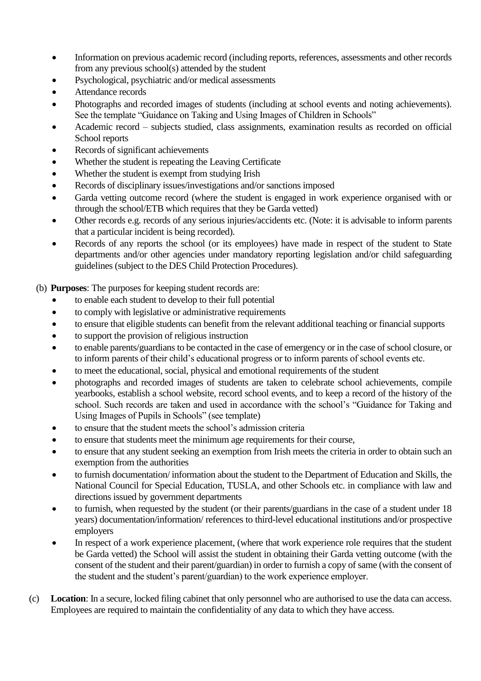- Information on previous academic record (including reports, references, assessments and other records from any previous school(s) attended by the student
- Psychological, psychiatric and/or medical assessments
- Attendance records
- Photographs and recorded images of students (including at school events and noting achievements). See the template "Guidance on Taking and Using Images of Children in Schools"
- Academic record subjects studied, class assignments, examination results as recorded on official School reports
- Records of significant achievements
- Whether the student is repeating the Leaving Certificate
- Whether the student is exempt from studying Irish
- Records of disciplinary issues/investigations and/or sanctions imposed
- Garda vetting outcome record (where the student is engaged in work experience organised with or through the school/ETB which requires that they be Garda vetted)
- Other records e.g. records of any serious injuries/accidents etc. (Note: it is advisable to inform parents that a particular incident is being recorded).
- Records of any reports the school (or its employees) have made in respect of the student to State departments and/or other agencies under mandatory reporting legislation and/or child safeguarding guidelines (subject to the DES Child Protection Procedures).
- (b) **Purposes**: The purposes for keeping student records are:
	- to enable each student to develop to their full potential
	- to comply with legislative or administrative requirements
	- to ensure that eligible students can benefit from the relevant additional teaching or financial supports
	- to support the provision of religious instruction
	- to enable parents/guardians to be contacted in the case of emergency or in the case of school closure, or to inform parents of their child's educational progress or to inform parents of school events etc.
	- to meet the educational, social, physical and emotional requirements of the student
	- photographs and recorded images of students are taken to celebrate school achievements, compile yearbooks, establish a school website, record school events, and to keep a record of the history of the school. Such records are taken and used in accordance with the school's "Guidance for Taking and Using Images of Pupils in Schools" (see template)
	- to ensure that the student meets the school's admission criteria
	- to ensure that students meet the minimum age requirements for their course,
	- to ensure that any student seeking an exemption from Irish meets the criteria in order to obtain such an exemption from the authorities
	- to furnish documentation/ information about the student to the Department of Education and Skills, the National Council for Special Education, TUSLA, and other Schools etc. in compliance with law and directions issued by government departments
	- to furnish, when requested by the student (or their parents/guardians in the case of a student under 18 years) documentation/information/ references to third-level educational institutions and/or prospective employers
	- In respect of a work experience placement, (where that work experience role requires that the student be Garda vetted) the School will assist the student in obtaining their Garda vetting outcome (with the consent of the student and their parent/guardian) in order to furnish a copy of same (with the consent of the student and the student's parent/guardian) to the work experience employer.
- (c) **Location**: In a secure, locked filing cabinet that only personnel who are authorised to use the data can access. Employees are required to maintain the confidentiality of any data to which they have access.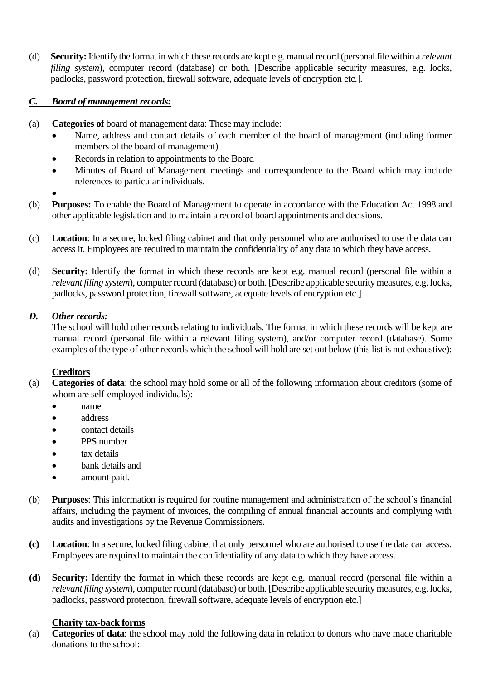(d) **Security:** Identify the format in which these records are kept e.g. manual record (personal file within a *relevant filing system*), computer record (database) or both. [Describe applicable security measures, e.g. locks, padlocks, password protection, firewall software, adequate levels of encryption etc.].

# *C. Board of management records:*

- (a) **Categories of** board of management data: These may include:
	- Name, address and contact details of each member of the board of management (including former members of the board of management)
	- Records in relation to appointments to the Board
	- Minutes of Board of Management meetings and correspondence to the Board which may include references to particular individuals.
	- $\bullet$
- (b) **Purposes:** To enable the Board of Management to operate in accordance with the Education Act 1998 and other applicable legislation and to maintain a record of board appointments and decisions.
- (c) **Location**: In a secure, locked filing cabinet and that only personnel who are authorised to use the data can access it. Employees are required to maintain the confidentiality of any data to which they have access.
- (d) **Security:** Identify the format in which these records are kept e.g. manual record (personal file within a *relevant filing system*), computer record (database) or both. [Describe applicable security measures, e.g. locks, padlocks, password protection, firewall software, adequate levels of encryption etc.]

# *D. Other records:*

The school will hold other records relating to individuals. The format in which these records will be kept are manual record (personal file within a relevant filing system), and/or computer record (database). Some examples of the type of other records which the school will hold are set out below (this list is not exhaustive):

# **Creditors**

- (a) **Categories of data**: the school may hold some or all of the following information about creditors (some of whom are self-employed individuals):
	- name
	- address
	- contact details
	- PPS number
	- tax details
	- **bank** details and
	- amount paid.
- (b) **Purposes**: This information is required for routine management and administration of the school's financial affairs, including the payment of invoices, the compiling of annual financial accounts and complying with audits and investigations by the Revenue Commissioners.
- **(c) Location**: In a secure, locked filing cabinet that only personnel who are authorised to use the data can access. Employees are required to maintain the confidentiality of any data to which they have access.
- **(d) Security:** Identify the format in which these records are kept e.g. manual record (personal file within a *relevant filing system*), computer record (database) or both. [Describe applicable security measures, e.g. locks, padlocks, password protection, firewall software, adequate levels of encryption etc.]

# **Charity tax-back forms**

(a) **Categories of data**: the school may hold the following data in relation to donors who have made charitable donations to the school: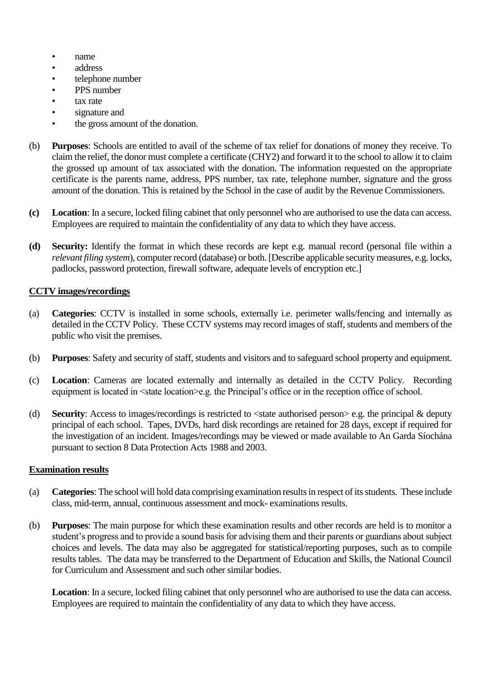- name
- address
- telephone number
- PPS number
- tax rate
- signature and
- the gross amount of the donation.
- (b) **Purposes**: Schools are entitled to avail of the scheme of tax relief for donations of money they receive. To claim the relief, the donor must complete a certificate (CHY2) and forward it to the school to allow it to claim the grossed up amount of tax associated with the donation. The information requested on the appropriate certificate is the parents name, address, PPS number, tax rate, telephone number, signature and the gross amount of the donation. This is retained by the School in the case of audit by the Revenue Commissioners.
- **(c) Location**: In a secure, locked filing cabinet that only personnel who are authorised to use the data can access. Employees are required to maintain the confidentiality of any data to which they have access.
- **(d) Security:** Identify the format in which these records are kept e.g. manual record (personal file within a *relevant filing system*), computer record (database) or both. [Describe applicable security measures, e.g. locks, padlocks, password protection, firewall software, adequate levels of encryption etc.]

### **CCTV images/recordings**

- (a) **Categories**: CCTV is installed in some schools, externally i.e. perimeter walls/fencing and internally as detailed in the CCTV Policy. These CCTV systems may record images of staff, students and members of the public who visit the premises.
- (b) **Purposes**: Safety and security of staff, students and visitors and to safeguard school property and equipment.
- (c) **Location**: Cameras are located externally and internally as detailed in the CCTV Policy. Recording equipment is located in <state location>e.g. the Principal's office or in the reception office of school.
- (d) **Security**: Access to images/recordings is restricted to <state authorised person> e.g. the principal & deputy principal of each school. Tapes, DVDs, hard disk recordings are retained for 28 days, except if required for the investigation of an incident. Images/recordings may be viewed or made available to An Garda Síochána pursuant to section 8 Data Protection Acts 1988 and 2003.

### **Examination results**

- (a) **Categories**: The school will hold data comprising examination results in respect of its students. These include class, mid-term, annual, continuous assessment and mock- examinations results.
- (b) **Purposes**: The main purpose for which these examination results and other records are held is to monitor a student's progress and to provide a sound basis for advising them and their parents or guardians about subject choices and levels. The data may also be aggregated for statistical/reporting purposes, such as to compile results tables. The data may be transferred to the Department of Education and Skills, the National Council for Curriculum and Assessment and such other similar bodies.

**Location**: In a secure, locked filing cabinet that only personnel who are authorised to use the data can access. Employees are required to maintain the confidentiality of any data to which they have access.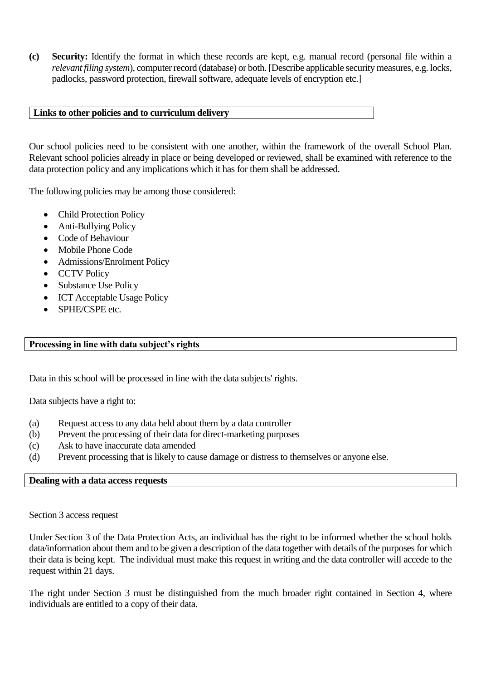**(c) Security:** Identify the format in which these records are kept, e.g. manual record (personal file within a *relevant filing system*), computer record (database) or both. [Describe applicable security measures, e.g. locks, padlocks, password protection, firewall software, adequate levels of encryption etc.]

### **Links to other policies and to curriculum delivery**

Our school policies need to be consistent with one another, within the framework of the overall School Plan. Relevant school policies already in place or being developed or reviewed, shall be examined with reference to the data protection policy and any implications which it has for them shall be addressed.

The following policies may be among those considered:

- Child Protection Policy
- Anti-Bullying Policy
- Code of Behaviour
- Mobile Phone Code
- Admissions/Enrolment Policy
- CCTV Policy
- Substance Use Policy
- ICT Acceptable Usage Policy
- SPHE/CSPE etc.

#### **Processing in line with data subject's rights**

Data in this school will be processed in line with the data subjects' rights.

Data subjects have a right to:

- (a) Request access to any data held about them by a data controller
- (b) Prevent the processing of their data for direct-marketing purposes
- (c) Ask to have inaccurate data amended
- (d) Prevent processing that is likely to cause damage or distress to themselves or anyone else.

#### **Dealing with a data access requests**

Section 3 access request

Under Section 3 of the Data Protection Acts, an individual has the right to be informed whether the school holds data/information about them and to be given a description of the data together with details of the purposes for which their data is being kept. The individual must make this request in writing and the data controller will accede to the request within 21 days.

The right under Section 3 must be distinguished from the much broader right contained in Section 4, where individuals are entitled to a copy of their data.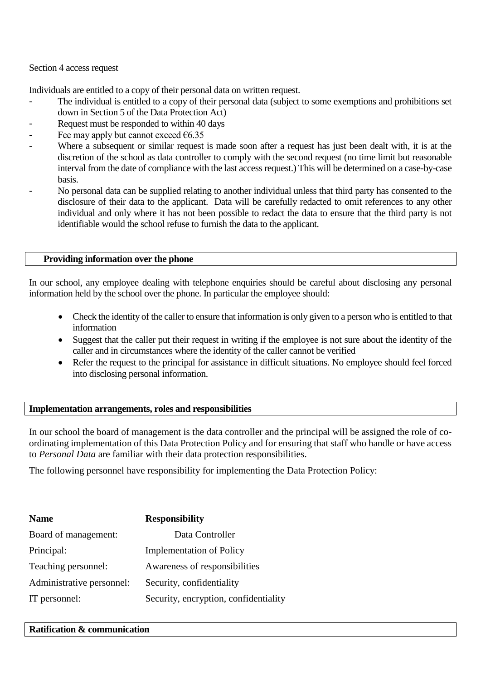Section 4 access request

Individuals are entitled to a copy of their personal data on written request.

- The individual is entitled to a copy of their personal data (subject to some exemptions and prohibitions set down in Section 5 of the Data Protection Act)
- Request must be responded to within 40 days
- Fee may apply but cannot exceed  $\epsilon$ 6.35
- Where a subsequent or similar request is made soon after a request has just been dealt with, it is at the discretion of the school as data controller to comply with the second request (no time limit but reasonable interval from the date of compliance with the last access request.) This will be determined on a case-by-case basis.
- No personal data can be supplied relating to another individual unless that third party has consented to the disclosure of their data to the applicant. Data will be carefully redacted to omit references to any other individual and only where it has not been possible to redact the data to ensure that the third party is not identifiable would the school refuse to furnish the data to the applicant.

### **Providing information over the phone**

In our school, any employee dealing with telephone enquiries should be careful about disclosing any personal information held by the school over the phone. In particular the employee should:

- Check the identity of the caller to ensure that information is only given to a person who is entitled to that information
- Suggest that the caller put their request in writing if the employee is not sure about the identity of the caller and in circumstances where the identity of the caller cannot be verified
- Refer the request to the principal for assistance in difficult situations. No employee should feel forced into disclosing personal information.

# **Implementation arrangements, roles and responsibilities**

In our school the board of management is the data controller and the principal will be assigned the role of coordinating implementation of this Data Protection Policy and for ensuring that staff who handle or have access to *Personal Data* are familiar with their data protection responsibilities.

The following personnel have responsibility for implementing the Data Protection Policy:

| <b>Name</b>               | <b>Responsibility</b>                 |
|---------------------------|---------------------------------------|
| Board of management:      | Data Controller                       |
| Principal:                | <b>Implementation of Policy</b>       |
| Teaching personnel:       | Awareness of responsibilities         |
| Administrative personnel: | Security, confidentiality             |
| IT personnel:             | Security, encryption, confidentiality |

#### **Ratification & communication**